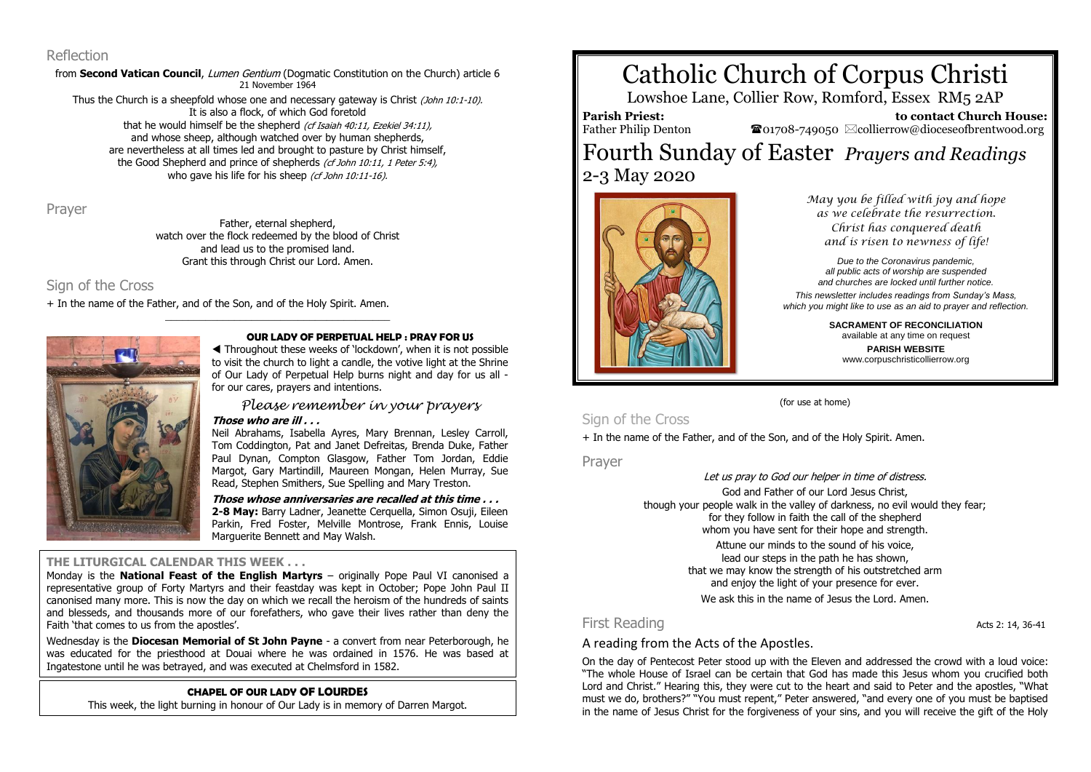#### Reflection

from **Second Vatican Council**, *Lumen Gentium* (Dogmatic Constitution on the Church) article 6 21 November 1964

Thus the Church is a sheepfold whose one and necessary gateway is Christ (John 10:1-10). It is also a flock, of which God foretold that he would himself be the shepherd (cf Isaiah 40:11, Ezekiel 34:11), and whose sheep, although watched over by human shepherds, are nevertheless at all times led and brought to pasture by Christ himself, the Good Shepherd and prince of shepherds (cf John 10:11, 1 Peter 5:4), who gave his life for his sheep (cf John 10:11-16).

Prayer

Father, eternal shepherd, watch over the flock redeemed by the blood of Christ and lead us to the promised land. Grant this through Christ our Lord. Amen.

\_\_\_\_\_\_\_\_\_\_\_\_\_\_\_\_\_\_\_\_\_\_\_\_\_\_\_\_\_\_\_\_\_\_\_\_\_\_\_

## Sign of the Cross

+ In the name of the Father, and of the Son, and of the Holy Spirit. Amen.



#### **OUR LADY OF PERPETUAL HELP : PRAY FOR US**

 Throughout these weeks of 'lockdown', when it is not possible to visit the church to light a candle, the votive light at the Shrine of Our Lady of Perpetual Help burns night and day for us all for our cares, prayers and intentions.

*Please remember in your prayers*

**Those who are ill . . .**

Neil Abrahams, Isabella Ayres, Mary Brennan, Lesley Carroll, Tom Coddington, Pat and Janet Defreitas, Brenda Duke, Father Paul Dynan, Compton Glasgow, Father Tom Jordan, Eddie Margot, Gary Martindill, Maureen Mongan, Helen Murray, Sue Read, Stephen Smithers, Sue Spelling and Mary Treston.

**Those whose anniversaries are recalled at this time . . . 2-8 May:** Barry Ladner, Jeanette Cerquella, Simon Osuji, Eileen

Parkin, Fred Foster, Melville Montrose, Frank Ennis, Louise Marguerite Bennett and May Walsh.

### **THE LITURGICAL CALENDAR THIS WEEK . . .**

Monday is the **National Feast of the English Martyrs** – originally Pope Paul VI canonised a representative group of Forty Martyrs and their feastday was kept in October; Pope John Paul II canonised many more. This is now the day on which we recall the heroism of the hundreds of saints and blesseds, and thousands more of our forefathers, who gave their lives rather than deny the Faith 'that comes to us from the apostles'.

Wednesday is the **Diocesan Memorial of St John Payne** - a convert from near Peterborough, he was educated for the priesthood at Douai where he was ordained in 1576. He was based at Ingatestone until he was betrayed, and was executed at Chelmsford in 1582.

### **CHAPEL OF OUR LADY OF LOURDES**

This week, the light burning in honour of Our Lady is in memory of Darren Margot.

# Catholic Church of Corpus Christi

Lowshoe Lane, Collier Row, Romford, Essex RM5 2AP

**Parish Priest:** Father Philip Denton

 **to contact Church House:**  $\bullet$ 01708-749050  $\boxtimes$ collierrow@dioceseofbrentwood.org

## Fourth Sunday of Easter *Prayers and Readings* 2-3 May 2020



*May you be filled with joy and hope as we celebrate the resurrection. Christ has conquered death and is risen to newness of life!*

*Due to the Coronavirus pandemic, all public acts of worship are suspended and churches are locked until further notice.*

*This newsletter includes readings from Sunday's Mass, which you might like to use as an aid to prayer and reflection.*

> **SACRAMENT OF RECONCILIATION** available at any time on request **PARISH WEBSITE** www.corpuschristicollierrow.org

(for use at home)

## Sign of the Cross

+ In the name of the Father, and of the Son, and of the Holy Spirit. Amen.

Prayer

Let us pray to God our helper in time of distress.

God and Father of our Lord Jesus Christ, though your people walk in the valley of darkness, no evil would they fear; for they follow in faith the call of the shepherd whom you have sent for their hope and strength.

> Attune our minds to the sound of his voice, lead our steps in the path he has shown, that we may know the strength of his outstretched arm and enjoy the light of your presence for ever. We ask this in the name of Jesus the Lord. Amen.

## First Reading **Acts** 2: 14, 36-41

A reading from the Acts of the Apostles.

On the day of Pentecost Peter stood up with the Eleven and addressed the crowd with a loud voice: "The whole House of Israel can be certain that God has made this Jesus whom you crucified both Lord and Christ." Hearing this, they were cut to the heart and said to Peter and the apostles, "What must we do, brothers?" "You must repent," Peter answered, "and every one of you must be baptised in the name of Jesus Christ for the forgiveness of your sins, and you will receive the gift of the Holy